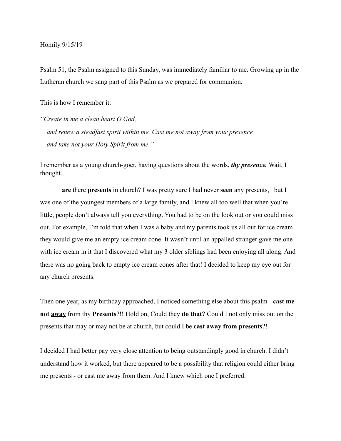Homily 9/15/19

Psalm 51, the Psalm assigned to this Sunday, was immediately familiar to me. Growing up in the Lutheran church we sang part of this Psalm as we prepared for communion.

This is how I remember it:

*"Create in me a clean heart O God, and renew a steadfast spirit within me. Cast me not away from your presence and take not your Holy Spirit from me."* 

I remember as a young church-goer, having questions about the words, *thy presence.* Wait, I thought…

 **are** there **presents** in church? I was pretty sure I had never **seen** any presents, but I was one of the youngest members of a large family, and I knew all too well that when you're little, people don't always tell you everything. You had to be on the look out or you could miss out. For example, I'm told that when I was a baby and my parents took us all out for ice cream they would give me an empty ice cream cone. It wasn't until an appalled stranger gave me one with ice cream in it that I discovered what my 3 older siblings had been enjoying all along. And there was no going back to empty ice cream cones after that! I decided to keep my eye out for any church presents.

Then one year, as my birthday approached, I noticed something else about this psalm - **cast me not away** from thy **Presents**?!! Hold on, Could they **do that?** Could I not only miss out on the presents that may or may not be at church, but could I be **cast away from presents**?!

I decided I had better pay very close attention to being outstandingly good in church. I didn't understand how it worked, but there appeared to be a possibility that religion could either bring me presents - or cast me away from them. And I knew which one I preferred.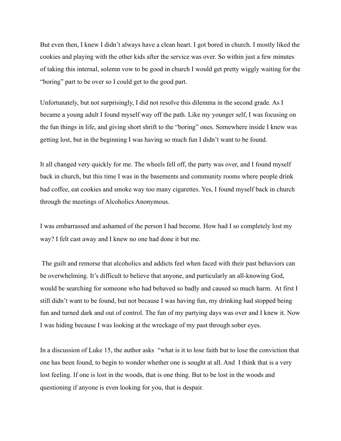But even then, I knew I didn't always have a clean heart. I got bored in church. I mostly liked the cookies and playing with the other kids after the service was over. So within just a few minutes of taking this internal, solemn vow to be good in church I would get pretty wiggly waiting for the "boring" part to be over so I could get to the good part.

Unfortunately, but not surprisingly, I did not resolve this dilemma in the second grade. As I became a young adult I found myself way off the path. Like my younger self, I was focusing on the fun things in life, and giving short shrift to the "boring" ones. Somewhere inside I knew was getting lost, but in the beginning I was having so much fun I didn't want to be found.

It all changed very quickly for me. The wheels fell off, the party was over, and I found myself back in church, but this time I was in the basements and community rooms where people drink bad coffee, eat cookies and smoke way too many cigarettes. Yes, I found myself back in church through the meetings of Alcoholics Anonymous.

I was embarrassed and ashamed of the person I had become. How had I so completely lost my way? I felt cast away and I knew no one had done it but me.

 The guilt and remorse that alcoholics and addicts feel when faced with their past behaviors can be overwhelming. It's difficult to believe that anyone, and particularly an all-knowing God, would be searching for someone who had behaved so badly and caused so much harm. At first I still didn't want to be found, but not because I was having fun, my drinking had stopped being fun and turned dark and out of control. The fun of my partying days was over and I knew it. Now I was hiding because I was looking at the wreckage of my past through sober eyes.

In a discussion of Luke 15, the author asks "what is it to lose faith but to lose the conviction that one has been found, to begin to wonder whether one is sought at all. And I think that is a very lost feeling. If one is lost in the woods, that is one thing. But to be lost in the woods and questioning if anyone is even looking for you, that is despair.